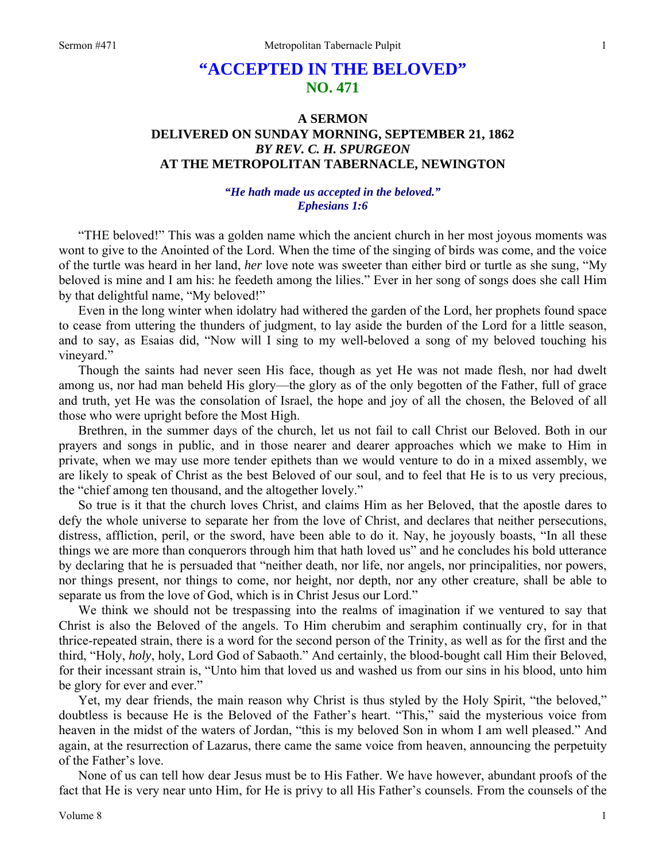# **"ACCEPTED IN THE BELOVED" NO. 471**

## **A SERMON DELIVERED ON SUNDAY MORNING, SEPTEMBER 21, 1862**  *BY REV. C. H. SPURGEON*  **AT THE METROPOLITAN TABERNACLE, NEWINGTON**

## *"He hath made us accepted in the beloved." Ephesians 1:6*

"THE beloved!" This was a golden name which the ancient church in her most joyous moments was wont to give to the Anointed of the Lord. When the time of the singing of birds was come, and the voice of the turtle was heard in her land, *her* love note was sweeter than either bird or turtle as she sung, "My beloved is mine and I am his: he feedeth among the lilies." Ever in her song of songs does she call Him by that delightful name, "My beloved!"

Even in the long winter when idolatry had withered the garden of the Lord, her prophets found space to cease from uttering the thunders of judgment, to lay aside the burden of the Lord for a little season, and to say, as Esaias did, "Now will I sing to my well-beloved a song of my beloved touching his vineyard."

Though the saints had never seen His face, though as yet He was not made flesh, nor had dwelt among us, nor had man beheld His glory—the glory as of the only begotten of the Father, full of grace and truth, yet He was the consolation of Israel, the hope and joy of all the chosen, the Beloved of all those who were upright before the Most High.

Brethren, in the summer days of the church, let us not fail to call Christ our Beloved. Both in our prayers and songs in public, and in those nearer and dearer approaches which we make to Him in private, when we may use more tender epithets than we would venture to do in a mixed assembly, we are likely to speak of Christ as the best Beloved of our soul, and to feel that He is to us very precious, the "chief among ten thousand, and the altogether lovely."

So true is it that the church loves Christ, and claims Him as her Beloved, that the apostle dares to defy the whole universe to separate her from the love of Christ, and declares that neither persecutions, distress, affliction, peril, or the sword, have been able to do it. Nay, he joyously boasts, "In all these things we are more than conquerors through him that hath loved us" and he concludes his bold utterance by declaring that he is persuaded that "neither death, nor life, nor angels, nor principalities, nor powers, nor things present, nor things to come, nor height, nor depth, nor any other creature, shall be able to separate us from the love of God, which is in Christ Jesus our Lord."

We think we should not be trespassing into the realms of imagination if we ventured to say that Christ is also the Beloved of the angels. To Him cherubim and seraphim continually cry, for in that thrice-repeated strain, there is a word for the second person of the Trinity, as well as for the first and the third, "Holy, *holy*, holy, Lord God of Sabaoth." And certainly, the blood-bought call Him their Beloved, for their incessant strain is, "Unto him that loved us and washed us from our sins in his blood, unto him be glory for ever and ever."

Yet, my dear friends, the main reason why Christ is thus styled by the Holy Spirit, "the beloved," doubtless is because He is the Beloved of the Father's heart. "This," said the mysterious voice from heaven in the midst of the waters of Jordan, "this is my beloved Son in whom I am well pleased." And again, at the resurrection of Lazarus, there came the same voice from heaven, announcing the perpetuity of the Father's love.

None of us can tell how dear Jesus must be to His Father. We have however, abundant proofs of the fact that He is very near unto Him, for He is privy to all His Father's counsels. From the counsels of the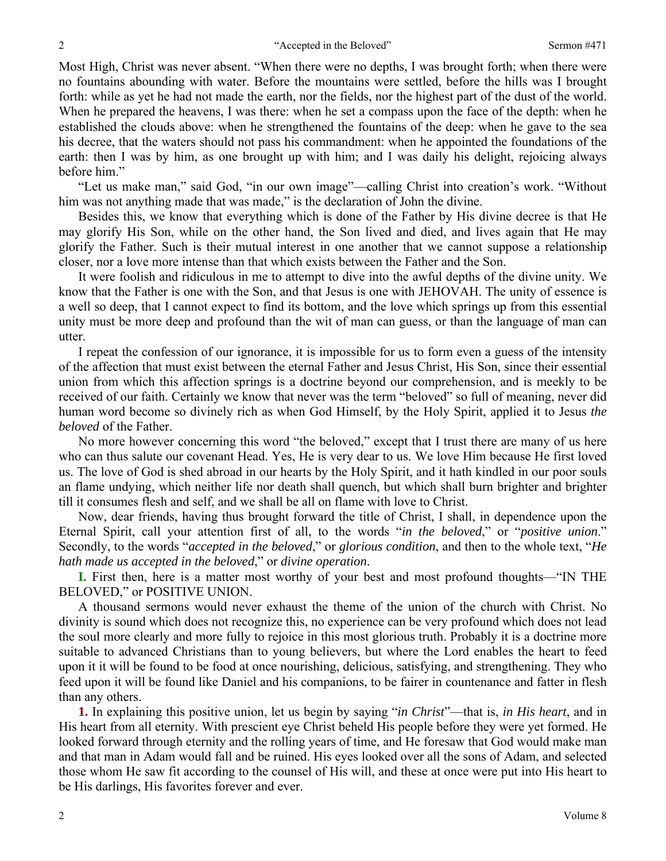Most High, Christ was never absent. "When there were no depths, I was brought forth; when there were no fountains abounding with water. Before the mountains were settled, before the hills was I brought forth: while as yet he had not made the earth, nor the fields, nor the highest part of the dust of the world. When he prepared the heavens, I was there: when he set a compass upon the face of the depth: when he established the clouds above: when he strengthened the fountains of the deep: when he gave to the sea his decree, that the waters should not pass his commandment: when he appointed the foundations of the earth: then I was by him, as one brought up with him; and I was daily his delight, rejoicing always before him."

"Let us make man," said God, "in our own image"—calling Christ into creation's work. "Without him was not anything made that was made," is the declaration of John the divine.

Besides this, we know that everything which is done of the Father by His divine decree is that He may glorify His Son, while on the other hand, the Son lived and died, and lives again that He may glorify the Father. Such is their mutual interest in one another that we cannot suppose a relationship closer, nor a love more intense than that which exists between the Father and the Son.

It were foolish and ridiculous in me to attempt to dive into the awful depths of the divine unity. We know that the Father is one with the Son, and that Jesus is one with JEHOVAH. The unity of essence is a well so deep, that I cannot expect to find its bottom, and the love which springs up from this essential unity must be more deep and profound than the wit of man can guess, or than the language of man can utter.

I repeat the confession of our ignorance, it is impossible for us to form even a guess of the intensity of the affection that must exist between the eternal Father and Jesus Christ, His Son, since their essential union from which this affection springs is a doctrine beyond our comprehension, and is meekly to be received of our faith. Certainly we know that never was the term "beloved" so full of meaning, never did human word become so divinely rich as when God Himself, by the Holy Spirit, applied it to Jesus *the beloved* of the Father.

No more however concerning this word "the beloved," except that I trust there are many of us here who can thus salute our covenant Head. Yes, He is very dear to us. We love Him because He first loved us. The love of God is shed abroad in our hearts by the Holy Spirit, and it hath kindled in our poor souls an flame undying, which neither life nor death shall quench, but which shall burn brighter and brighter till it consumes flesh and self, and we shall be all on flame with love to Christ.

Now, dear friends, having thus brought forward the title of Christ, I shall, in dependence upon the Eternal Spirit, call your attention first of all, to the words "*in the beloved*," or "*positive union*." Secondly, to the words "*accepted in the beloved*," or *glorious condition*, and then to the whole text, "*He hath made us accepted in the beloved*," or *divine operation*.

**I.** First then, here is a matter most worthy of your best and most profound thoughts—"IN THE BELOVED," or POSITIVE UNION.

A thousand sermons would never exhaust the theme of the union of the church with Christ. No divinity is sound which does not recognize this, no experience can be very profound which does not lead the soul more clearly and more fully to rejoice in this most glorious truth. Probably it is a doctrine more suitable to advanced Christians than to young believers, but where the Lord enables the heart to feed upon it it will be found to be food at once nourishing, delicious, satisfying, and strengthening. They who feed upon it will be found like Daniel and his companions, to be fairer in countenance and fatter in flesh than any others.

**1.** In explaining this positive union, let us begin by saying "*in Christ*"—that is, *in His heart*, and in His heart from all eternity. With prescient eye Christ beheld His people before they were yet formed. He looked forward through eternity and the rolling years of time, and He foresaw that God would make man and that man in Adam would fall and be ruined. His eyes looked over all the sons of Adam, and selected those whom He saw fit according to the counsel of His will, and these at once were put into His heart to be His darlings, His favorites forever and ever.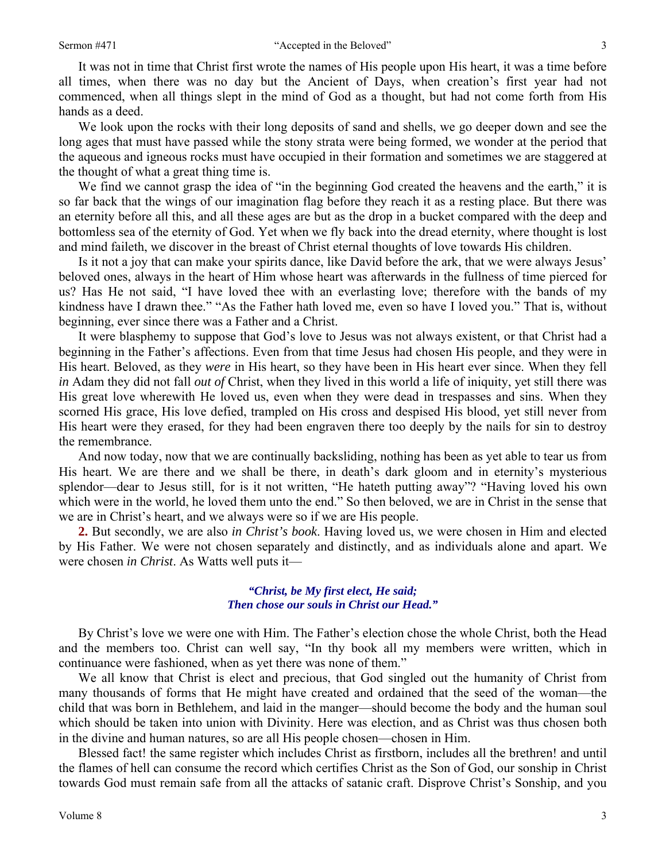It was not in time that Christ first wrote the names of His people upon His heart, it was a time before all times, when there was no day but the Ancient of Days, when creation's first year had not commenced, when all things slept in the mind of God as a thought, but had not come forth from His hands as a deed.

We look upon the rocks with their long deposits of sand and shells, we go deeper down and see the long ages that must have passed while the stony strata were being formed, we wonder at the period that the aqueous and igneous rocks must have occupied in their formation and sometimes we are staggered at the thought of what a great thing time is.

We find we cannot grasp the idea of "in the beginning God created the heavens and the earth," it is so far back that the wings of our imagination flag before they reach it as a resting place. But there was an eternity before all this, and all these ages are but as the drop in a bucket compared with the deep and bottomless sea of the eternity of God. Yet when we fly back into the dread eternity, where thought is lost and mind faileth, we discover in the breast of Christ eternal thoughts of love towards His children.

Is it not a joy that can make your spirits dance, like David before the ark, that we were always Jesus' beloved ones, always in the heart of Him whose heart was afterwards in the fullness of time pierced for us? Has He not said, "I have loved thee with an everlasting love; therefore with the bands of my kindness have I drawn thee." "As the Father hath loved me, even so have I loved you." That is, without beginning, ever since there was a Father and a Christ.

It were blasphemy to suppose that God's love to Jesus was not always existent, or that Christ had a beginning in the Father's affections. Even from that time Jesus had chosen His people, and they were in His heart. Beloved, as they *were* in His heart, so they have been in His heart ever since. When they fell *in* Adam they did not fall *out of* Christ, when they lived in this world a life of iniquity, yet still there was His great love wherewith He loved us, even when they were dead in trespasses and sins. When they scorned His grace, His love defied, trampled on His cross and despised His blood, yet still never from His heart were they erased, for they had been engraven there too deeply by the nails for sin to destroy the remembrance.

And now today, now that we are continually backsliding, nothing has been as yet able to tear us from His heart. We are there and we shall be there, in death's dark gloom and in eternity's mysterious splendor—dear to Jesus still, for is it not written, "He hateth putting away"? "Having loved his own which were in the world, he loved them unto the end." So then beloved, we are in Christ in the sense that we are in Christ's heart, and we always were so if we are His people.

**2.** But secondly, we are also *in Christ's book*. Having loved us, we were chosen in Him and elected by His Father. We were not chosen separately and distinctly, and as individuals alone and apart. We were chosen *in Christ*. As Watts well puts it—

### *"Christ, be My first elect, He said; Then chose our souls in Christ our Head."*

By Christ's love we were one with Him. The Father's election chose the whole Christ, both the Head and the members too. Christ can well say, "In thy book all my members were written, which in continuance were fashioned, when as yet there was none of them."

We all know that Christ is elect and precious, that God singled out the humanity of Christ from many thousands of forms that He might have created and ordained that the seed of the woman—the child that was born in Bethlehem, and laid in the manger—should become the body and the human soul which should be taken into union with Divinity. Here was election, and as Christ was thus chosen both in the divine and human natures, so are all His people chosen—chosen in Him.

Blessed fact! the same register which includes Christ as firstborn, includes all the brethren! and until the flames of hell can consume the record which certifies Christ as the Son of God, our sonship in Christ towards God must remain safe from all the attacks of satanic craft. Disprove Christ's Sonship, and you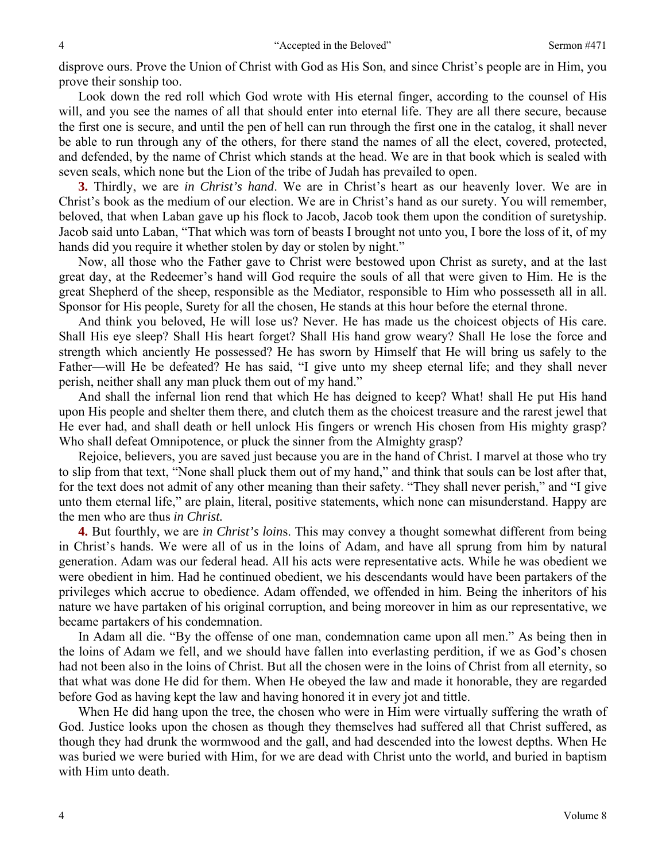disprove ours. Prove the Union of Christ with God as His Son, and since Christ's people are in Him, you prove their sonship too.

Look down the red roll which God wrote with His eternal finger, according to the counsel of His will, and you see the names of all that should enter into eternal life. They are all there secure, because the first one is secure, and until the pen of hell can run through the first one in the catalog, it shall never be able to run through any of the others, for there stand the names of all the elect, covered, protected, and defended, by the name of Christ which stands at the head. We are in that book which is sealed with seven seals, which none but the Lion of the tribe of Judah has prevailed to open.

**3.** Thirdly, we are *in Christ's hand*. We are in Christ's heart as our heavenly lover. We are in Christ's book as the medium of our election. We are in Christ's hand as our surety. You will remember, beloved, that when Laban gave up his flock to Jacob, Jacob took them upon the condition of suretyship. Jacob said unto Laban, "That which was torn of beasts I brought not unto you, I bore the loss of it, of my hands did you require it whether stolen by day or stolen by night."

Now, all those who the Father gave to Christ were bestowed upon Christ as surety, and at the last great day, at the Redeemer's hand will God require the souls of all that were given to Him. He is the great Shepherd of the sheep, responsible as the Mediator, responsible to Him who possesseth all in all. Sponsor for His people, Surety for all the chosen, He stands at this hour before the eternal throne.

And think you beloved, He will lose us? Never. He has made us the choicest objects of His care. Shall His eye sleep? Shall His heart forget? Shall His hand grow weary? Shall He lose the force and strength which anciently He possessed? He has sworn by Himself that He will bring us safely to the Father—will He be defeated? He has said, "I give unto my sheep eternal life; and they shall never perish, neither shall any man pluck them out of my hand."

And shall the infernal lion rend that which He has deigned to keep? What! shall He put His hand upon His people and shelter them there, and clutch them as the choicest treasure and the rarest jewel that He ever had, and shall death or hell unlock His fingers or wrench His chosen from His mighty grasp? Who shall defeat Omnipotence, or pluck the sinner from the Almighty grasp?

Rejoice, believers, you are saved just because you are in the hand of Christ. I marvel at those who try to slip from that text, "None shall pluck them out of my hand," and think that souls can be lost after that, for the text does not admit of any other meaning than their safety. "They shall never perish," and "I give unto them eternal life," are plain, literal, positive statements, which none can misunderstand. Happy are the men who are thus *in Christ.*

**4.** But fourthly, we are *in Christ's loin*s. This may convey a thought somewhat different from being in Christ's hands. We were all of us in the loins of Adam, and have all sprung from him by natural generation. Adam was our federal head. All his acts were representative acts. While he was obedient we were obedient in him. Had he continued obedient, we his descendants would have been partakers of the privileges which accrue to obedience. Adam offended, we offended in him. Being the inheritors of his nature we have partaken of his original corruption, and being moreover in him as our representative, we became partakers of his condemnation.

In Adam all die. "By the offense of one man, condemnation came upon all men." As being then in the loins of Adam we fell, and we should have fallen into everlasting perdition, if we as God's chosen had not been also in the loins of Christ. But all the chosen were in the loins of Christ from all eternity, so that what was done He did for them. When He obeyed the law and made it honorable, they are regarded before God as having kept the law and having honored it in every jot and tittle.

When He did hang upon the tree, the chosen who were in Him were virtually suffering the wrath of God. Justice looks upon the chosen as though they themselves had suffered all that Christ suffered, as though they had drunk the wormwood and the gall, and had descended into the lowest depths. When He was buried we were buried with Him, for we are dead with Christ unto the world, and buried in baptism with Him unto death.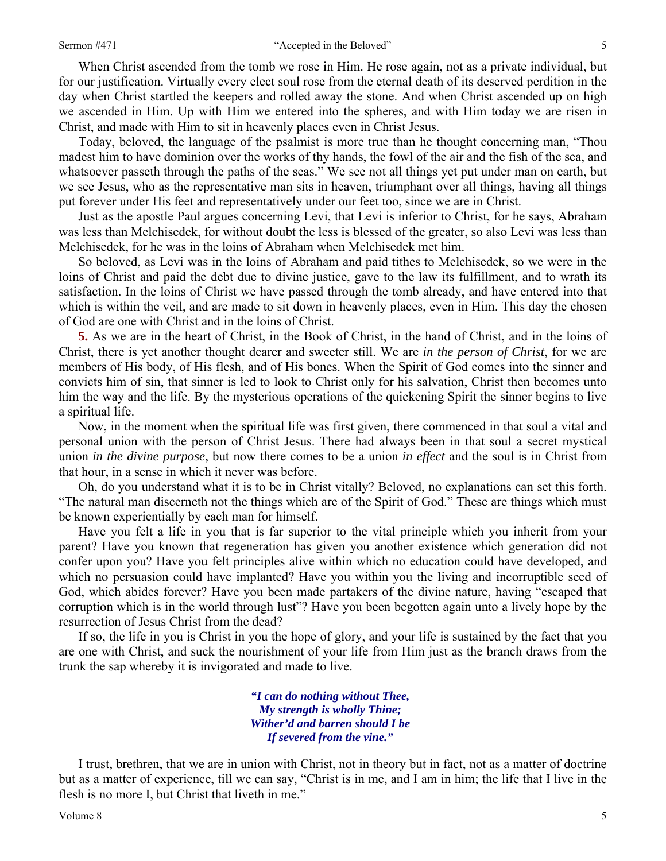#### Sermon #471 "Accepted in the Beloved"

When Christ ascended from the tomb we rose in Him. He rose again, not as a private individual, but for our justification. Virtually every elect soul rose from the eternal death of its deserved perdition in the day when Christ startled the keepers and rolled away the stone. And when Christ ascended up on high we ascended in Him. Up with Him we entered into the spheres, and with Him today we are risen in Christ, and made with Him to sit in heavenly places even in Christ Jesus.

Today, beloved, the language of the psalmist is more true than he thought concerning man, "Thou madest him to have dominion over the works of thy hands, the fowl of the air and the fish of the sea, and whatsoever passeth through the paths of the seas." We see not all things yet put under man on earth, but we see Jesus, who as the representative man sits in heaven, triumphant over all things, having all things put forever under His feet and representatively under our feet too, since we are in Christ.

Just as the apostle Paul argues concerning Levi, that Levi is inferior to Christ, for he says, Abraham was less than Melchisedek, for without doubt the less is blessed of the greater, so also Levi was less than Melchisedek, for he was in the loins of Abraham when Melchisedek met him.

So beloved, as Levi was in the loins of Abraham and paid tithes to Melchisedek, so we were in the loins of Christ and paid the debt due to divine justice, gave to the law its fulfillment, and to wrath its satisfaction. In the loins of Christ we have passed through the tomb already, and have entered into that which is within the veil, and are made to sit down in heavenly places, even in Him. This day the chosen of God are one with Christ and in the loins of Christ.

**5.** As we are in the heart of Christ, in the Book of Christ, in the hand of Christ, and in the loins of Christ, there is yet another thought dearer and sweeter still. We are *in the person of Christ*, for we are members of His body, of His flesh, and of His bones. When the Spirit of God comes into the sinner and convicts him of sin, that sinner is led to look to Christ only for his salvation, Christ then becomes unto him the way and the life. By the mysterious operations of the quickening Spirit the sinner begins to live a spiritual life.

Now, in the moment when the spiritual life was first given, there commenced in that soul a vital and personal union with the person of Christ Jesus. There had always been in that soul a secret mystical union *in the divine purpose*, but now there comes to be a union *in effect* and the soul is in Christ from that hour, in a sense in which it never was before.

Oh, do you understand what it is to be in Christ vitally? Beloved, no explanations can set this forth. "The natural man discerneth not the things which are of the Spirit of God." These are things which must be known experientially by each man for himself.

Have you felt a life in you that is far superior to the vital principle which you inherit from your parent? Have you known that regeneration has given you another existence which generation did not confer upon you? Have you felt principles alive within which no education could have developed, and which no persuasion could have implanted? Have you within you the living and incorruptible seed of God, which abides forever? Have you been made partakers of the divine nature, having "escaped that corruption which is in the world through lust"? Have you been begotten again unto a lively hope by the resurrection of Jesus Christ from the dead?

If so, the life in you is Christ in you the hope of glory, and your life is sustained by the fact that you are one with Christ, and suck the nourishment of your life from Him just as the branch draws from the trunk the sap whereby it is invigorated and made to live.

> *"I can do nothing without Thee, My strength is wholly Thine; Wither'd and barren should I be If severed from the vine."*

I trust, brethren, that we are in union with Christ, not in theory but in fact, not as a matter of doctrine but as a matter of experience, till we can say, "Christ is in me, and I am in him; the life that I live in the flesh is no more I, but Christ that liveth in me."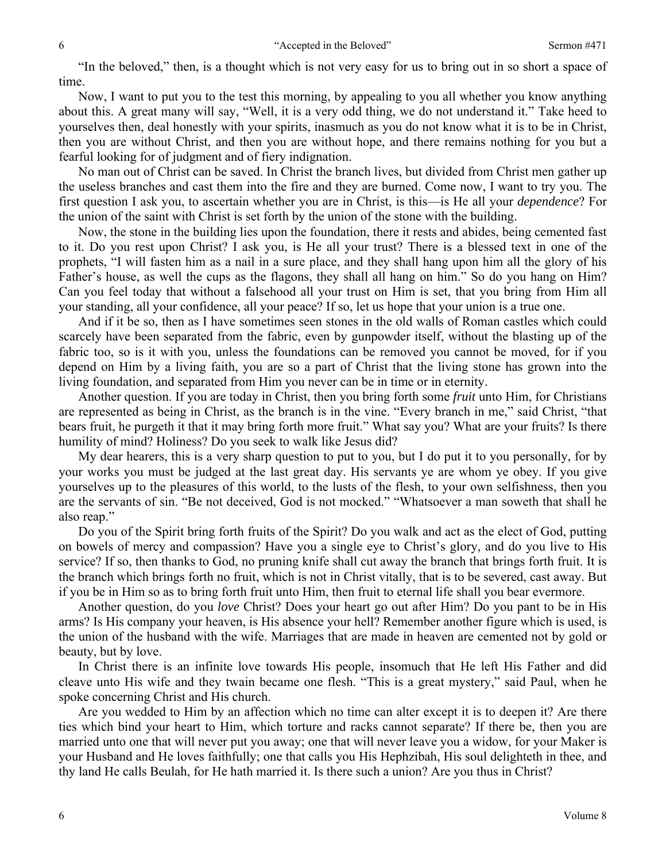"In the beloved," then, is a thought which is not very easy for us to bring out in so short a space of time.

Now, I want to put you to the test this morning, by appealing to you all whether you know anything about this. A great many will say, "Well, it is a very odd thing, we do not understand it." Take heed to yourselves then, deal honestly with your spirits, inasmuch as you do not know what it is to be in Christ, then you are without Christ, and then you are without hope, and there remains nothing for you but a fearful looking for of judgment and of fiery indignation.

No man out of Christ can be saved. In Christ the branch lives, but divided from Christ men gather up the useless branches and cast them into the fire and they are burned. Come now, I want to try you. The first question I ask you, to ascertain whether you are in Christ, is this—is He all your *dependence*? For the union of the saint with Christ is set forth by the union of the stone with the building.

Now, the stone in the building lies upon the foundation, there it rests and abides, being cemented fast to it. Do you rest upon Christ? I ask you, is He all your trust? There is a blessed text in one of the prophets, "I will fasten him as a nail in a sure place, and they shall hang upon him all the glory of his Father's house, as well the cups as the flagons, they shall all hang on him." So do you hang on Him? Can you feel today that without a falsehood all your trust on Him is set, that you bring from Him all your standing, all your confidence, all your peace? If so, let us hope that your union is a true one.

And if it be so, then as I have sometimes seen stones in the old walls of Roman castles which could scarcely have been separated from the fabric, even by gunpowder itself, without the blasting up of the fabric too, so is it with you, unless the foundations can be removed you cannot be moved, for if you depend on Him by a living faith, you are so a part of Christ that the living stone has grown into the living foundation, and separated from Him you never can be in time or in eternity.

Another question. If you are today in Christ, then you bring forth some *fruit* unto Him, for Christians are represented as being in Christ, as the branch is in the vine. "Every branch in me," said Christ, "that bears fruit, he purgeth it that it may bring forth more fruit." What say you? What are your fruits? Is there humility of mind? Holiness? Do you seek to walk like Jesus did?

My dear hearers, this is a very sharp question to put to you, but I do put it to you personally, for by your works you must be judged at the last great day. His servants ye are whom ye obey. If you give yourselves up to the pleasures of this world, to the lusts of the flesh, to your own selfishness, then you are the servants of sin. "Be not deceived, God is not mocked." "Whatsoever a man soweth that shall he also reap."

Do you of the Spirit bring forth fruits of the Spirit? Do you walk and act as the elect of God, putting on bowels of mercy and compassion? Have you a single eye to Christ's glory, and do you live to His service? If so, then thanks to God, no pruning knife shall cut away the branch that brings forth fruit. It is the branch which brings forth no fruit, which is not in Christ vitally, that is to be severed, cast away. But if you be in Him so as to bring forth fruit unto Him, then fruit to eternal life shall you bear evermore.

Another question, do you *love* Christ? Does your heart go out after Him? Do you pant to be in His arms? Is His company your heaven, is His absence your hell? Remember another figure which is used, is the union of the husband with the wife. Marriages that are made in heaven are cemented not by gold or beauty, but by love.

In Christ there is an infinite love towards His people, insomuch that He left His Father and did cleave unto His wife and they twain became one flesh. "This is a great mystery," said Paul, when he spoke concerning Christ and His church.

Are you wedded to Him by an affection which no time can alter except it is to deepen it? Are there ties which bind your heart to Him, which torture and racks cannot separate? If there be, then you are married unto one that will never put you away; one that will never leave you a widow, for your Maker is your Husband and He loves faithfully; one that calls you His Hephzibah, His soul delighteth in thee, and thy land He calls Beulah, for He hath married it. Is there such a union? Are you thus in Christ?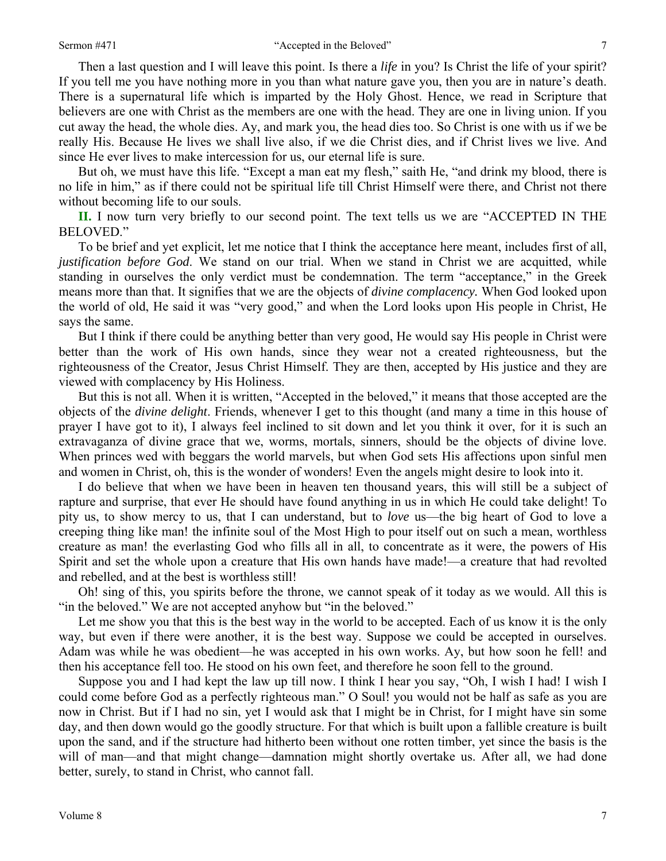Then a last question and I will leave this point. Is there a *life* in you? Is Christ the life of your spirit? If you tell me you have nothing more in you than what nature gave you, then you are in nature's death. There is a supernatural life which is imparted by the Holy Ghost. Hence, we read in Scripture that believers are one with Christ as the members are one with the head. They are one in living union. If you cut away the head, the whole dies. Ay, and mark you, the head dies too. So Christ is one with us if we be really His. Because He lives we shall live also, if we die Christ dies, and if Christ lives we live. And since He ever lives to make intercession for us, our eternal life is sure.

But oh, we must have this life. "Except a man eat my flesh," saith He, "and drink my blood, there is no life in him," as if there could not be spiritual life till Christ Himself were there, and Christ not there without becoming life to our souls.

**II.** I now turn very briefly to our second point. The text tells us we are "ACCEPTED IN THE BELOVED."

To be brief and yet explicit, let me notice that I think the acceptance here meant, includes first of all, *justification before God*. We stand on our trial. When we stand in Christ we are acquitted, while standing in ourselves the only verdict must be condemnation. The term "acceptance," in the Greek means more than that. It signifies that we are the objects of *divine complacency.* When God looked upon the world of old, He said it was "very good," and when the Lord looks upon His people in Christ, He says the same.

But I think if there could be anything better than very good, He would say His people in Christ were better than the work of His own hands, since they wear not a created righteousness, but the righteousness of the Creator, Jesus Christ Himself. They are then, accepted by His justice and they are viewed with complacency by His Holiness.

But this is not all. When it is written, "Accepted in the beloved," it means that those accepted are the objects of the *divine delight*. Friends, whenever I get to this thought (and many a time in this house of prayer I have got to it), I always feel inclined to sit down and let you think it over, for it is such an extravaganza of divine grace that we, worms, mortals, sinners, should be the objects of divine love. When princes wed with beggars the world marvels, but when God sets His affections upon sinful men and women in Christ, oh, this is the wonder of wonders! Even the angels might desire to look into it.

I do believe that when we have been in heaven ten thousand years, this will still be a subject of rapture and surprise, that ever He should have found anything in us in which He could take delight! To pity us, to show mercy to us, that I can understand, but to *love* us—the big heart of God to love a creeping thing like man! the infinite soul of the Most High to pour itself out on such a mean, worthless creature as man! the everlasting God who fills all in all, to concentrate as it were, the powers of His Spirit and set the whole upon a creature that His own hands have made!—a creature that had revolted and rebelled, and at the best is worthless still!

Oh! sing of this, you spirits before the throne, we cannot speak of it today as we would. All this is "in the beloved." We are not accepted anyhow but "in the beloved."

Let me show you that this is the best way in the world to be accepted. Each of us know it is the only way, but even if there were another, it is the best way. Suppose we could be accepted in ourselves. Adam was while he was obedient—he was accepted in his own works. Ay, but how soon he fell! and then his acceptance fell too. He stood on his own feet, and therefore he soon fell to the ground.

Suppose you and I had kept the law up till now. I think I hear you say, "Oh, I wish I had! I wish I could come before God as a perfectly righteous man." O Soul! you would not be half as safe as you are now in Christ. But if I had no sin, yet I would ask that I might be in Christ, for I might have sin some day, and then down would go the goodly structure. For that which is built upon a fallible creature is built upon the sand, and if the structure had hitherto been without one rotten timber, yet since the basis is the will of man—and that might change—damnation might shortly overtake us. After all, we had done better, surely, to stand in Christ, who cannot fall.

7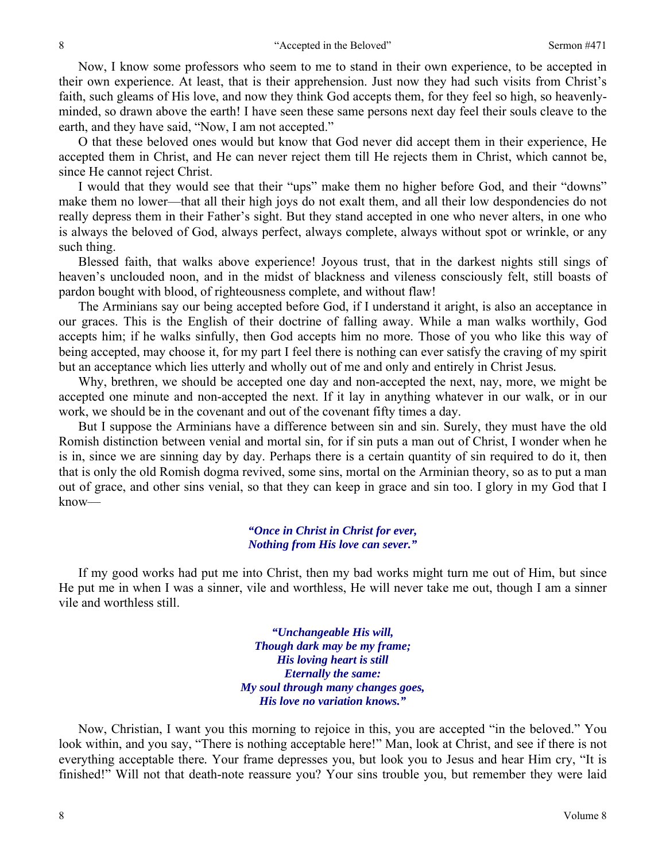Now, I know some professors who seem to me to stand in their own experience, to be accepted in their own experience. At least, that is their apprehension. Just now they had such visits from Christ's faith, such gleams of His love, and now they think God accepts them, for they feel so high, so heavenlyminded, so drawn above the earth! I have seen these same persons next day feel their souls cleave to the earth, and they have said, "Now, I am not accepted."

O that these beloved ones would but know that God never did accept them in their experience, He accepted them in Christ, and He can never reject them till He rejects them in Christ, which cannot be, since He cannot reject Christ.

I would that they would see that their "ups" make them no higher before God, and their "downs" make them no lower—that all their high joys do not exalt them, and all their low despondencies do not really depress them in their Father's sight. But they stand accepted in one who never alters, in one who is always the beloved of God, always perfect, always complete, always without spot or wrinkle, or any such thing.

Blessed faith, that walks above experience! Joyous trust, that in the darkest nights still sings of heaven's unclouded noon, and in the midst of blackness and vileness consciously felt, still boasts of pardon bought with blood, of righteousness complete, and without flaw!

The Arminians say our being accepted before God, if I understand it aright, is also an acceptance in our graces. This is the English of their doctrine of falling away. While a man walks worthily, God accepts him; if he walks sinfully, then God accepts him no more. Those of you who like this way of being accepted, may choose it, for my part I feel there is nothing can ever satisfy the craving of my spirit but an acceptance which lies utterly and wholly out of me and only and entirely in Christ Jesus*.*

Why, brethren, we should be accepted one day and non-accepted the next, nay, more, we might be accepted one minute and non-accepted the next. If it lay in anything whatever in our walk, or in our work, we should be in the covenant and out of the covenant fifty times a day.

But I suppose the Arminians have a difference between sin and sin. Surely, they must have the old Romish distinction between venial and mortal sin, for if sin puts a man out of Christ, I wonder when he is in, since we are sinning day by day. Perhaps there is a certain quantity of sin required to do it, then that is only the old Romish dogma revived, some sins, mortal on the Arminian theory, so as to put a man out of grace, and other sins venial, so that they can keep in grace and sin too. I glory in my God that I know—

## *"Once in Christ in Christ for ever, Nothing from His love can sever."*

If my good works had put me into Christ, then my bad works might turn me out of Him, but since He put me in when I was a sinner, vile and worthless, He will never take me out, though I am a sinner vile and worthless still.

> *"Unchangeable His will, Though dark may be my frame; His loving heart is still Eternally the same: My soul through many changes goes, His love no variation knows."*

Now, Christian, I want you this morning to rejoice in this, you are accepted "in the beloved." You look within, and you say, "There is nothing acceptable here!" Man, look at Christ, and see if there is not everything acceptable there*.* Your frame depresses you, but look you to Jesus and hear Him cry, "It is finished!" Will not that death-note reassure you? Your sins trouble you, but remember they were laid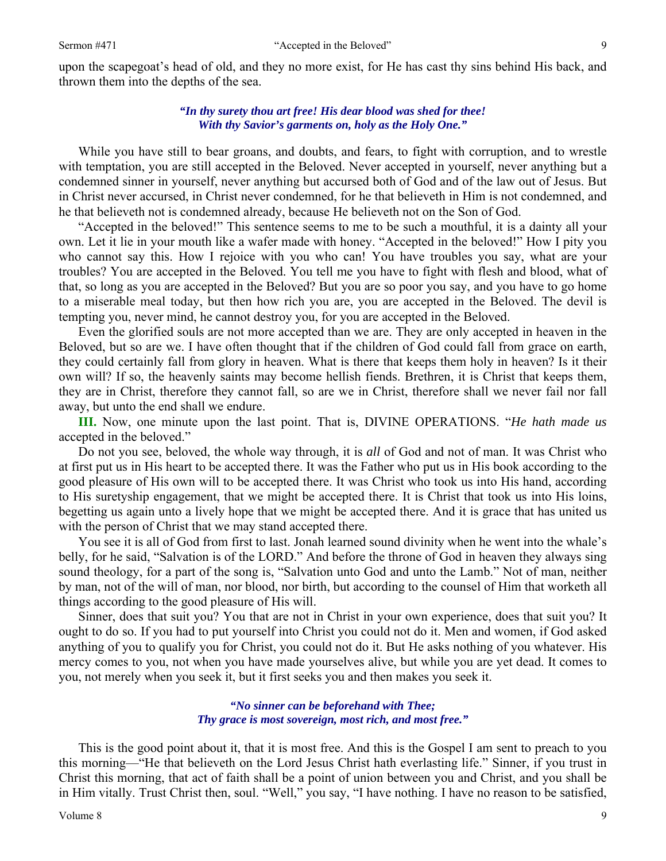upon the scapegoat's head of old, and they no more exist, for He has cast thy sins behind His back, and thrown them into the depths of the sea.

## *"In thy surety thou art free! His dear blood was shed for thee! With thy Savior's garments on, holy as the Holy One."*

While you have still to bear groans, and doubts, and fears, to fight with corruption, and to wrestle with temptation, you are still accepted in the Beloved. Never accepted in yourself, never anything but a condemned sinner in yourself, never anything but accursed both of God and of the law out of Jesus. But in Christ never accursed, in Christ never condemned, for he that believeth in Him is not condemned, and he that believeth not is condemned already, because He believeth not on the Son of God.

"Accepted in the beloved!" This sentence seems to me to be such a mouthful, it is a dainty all your own. Let it lie in your mouth like a wafer made with honey. "Accepted in the beloved!" How I pity you who cannot say this. How I rejoice with you who can! You have troubles you say, what are your troubles? You are accepted in the Beloved. You tell me you have to fight with flesh and blood, what of that, so long as you are accepted in the Beloved? But you are so poor you say, and you have to go home to a miserable meal today, but then how rich you are, you are accepted in the Beloved. The devil is tempting you, never mind, he cannot destroy you, for you are accepted in the Beloved.

Even the glorified souls are not more accepted than we are. They are only accepted in heaven in the Beloved, but so are we. I have often thought that if the children of God could fall from grace on earth, they could certainly fall from glory in heaven. What is there that keeps them holy in heaven? Is it their own will? If so, the heavenly saints may become hellish fiends. Brethren, it is Christ that keeps them, they are in Christ, therefore they cannot fall, so are we in Christ, therefore shall we never fail nor fall away, but unto the end shall we endure.

**III.** Now, one minute upon the last point. That is, DIVINE OPERATIONS. "*He hath made us*  accepted in the beloved."

Do not you see, beloved, the whole way through, it is *all* of God and not of man. It was Christ who at first put us in His heart to be accepted there. It was the Father who put us in His book according to the good pleasure of His own will to be accepted there. It was Christ who took us into His hand, according to His suretyship engagement, that we might be accepted there. It is Christ that took us into His loins, begetting us again unto a lively hope that we might be accepted there. And it is grace that has united us with the person of Christ that we may stand accepted there.

You see it is all of God from first to last. Jonah learned sound divinity when he went into the whale's belly, for he said, "Salvation is of the LORD." And before the throne of God in heaven they always sing sound theology, for a part of the song is, "Salvation unto God and unto the Lamb." Not of man, neither by man, not of the will of man, nor blood, nor birth, but according to the counsel of Him that worketh all things according to the good pleasure of His will.

Sinner, does that suit you? You that are not in Christ in your own experience, does that suit you? It ought to do so. If you had to put yourself into Christ you could not do it. Men and women, if God asked anything of you to qualify you for Christ, you could not do it. But He asks nothing of you whatever. His mercy comes to you, not when you have made yourselves alive, but while you are yet dead. It comes to you, not merely when you seek it, but it first seeks you and then makes you seek it.

## *"No sinner can be beforehand with Thee; Thy grace is most sovereign, most rich, and most free."*

This is the good point about it, that it is most free. And this is the Gospel I am sent to preach to you this morning—"He that believeth on the Lord Jesus Christ hath everlasting life." Sinner, if you trust in Christ this morning, that act of faith shall be a point of union between you and Christ, and you shall be in Him vitally. Trust Christ then, soul. "Well," you say, "I have nothing. I have no reason to be satisfied,